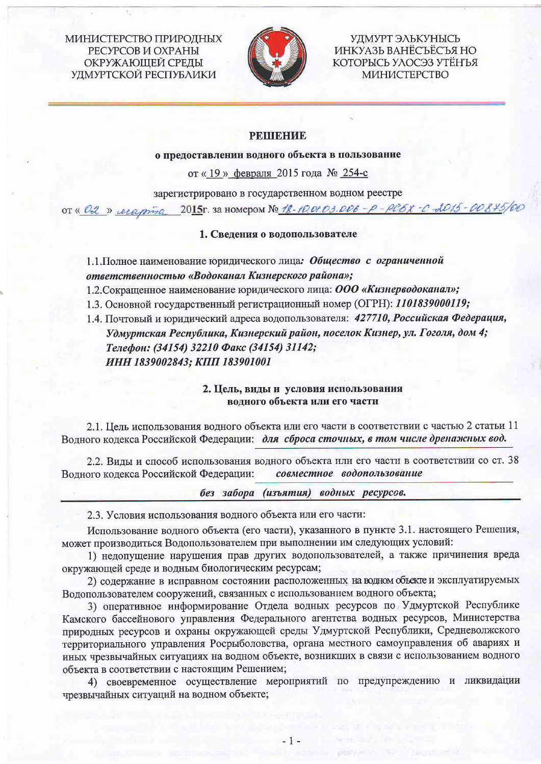МИНИСТЕРСТВО ПРИРОДНЫХ РЕСУРСОВ И ОХРАНЫ ОКРУЖАЮЩЕЙ СРЕДЫ УДМУРТСКОЙ РЕСПУБЛИКИ



УДМУРТ ЭЛЬКУНЫСЬ ИНКУАЗЬ ВАНЁСЪЁСЪЯ НО КОТОРЫСЬ УЛОСЭЗ УТЁНЪЯ МИНИСТЕРСТВО

# **PEIIIEHHE**

о предоставлении водного объекта в пользование

от «19» февраля 2015 года № 254-с

зарегистрировано в государственном водном реестре

от « 02 » сесарта 2015г. за номером № 18-10.01.03.006 - р-рсбх-с 2015-00875/00

# 1. Сведения о водопользователе

1.1. Полное наименование юридического лица: Общество с ограниченной ответственностью «Водоканал Кизнерского района»;

1.2. Сокращенное наименование юридического лица: ООО «Кизнерводоканал»;

1.3. Основной государственный регистрационный номер (ОГРН): 1101839000119;

1.4. Почтовый и юридический адреса водопользователя: 427710, Российская Федерация, Удмуртская Республика, Кизнерский район, поселок Кизнер, ул. Гоголя, дом 4; Телефон: (34154) 32210 Факс (34154) 31142;

ИНН 1839002843; КПП 183901001

2. Цель, виды и условия использования водного объекта или его части

2.1. Цель использования водного объекта или его части в соответствии с частью 2 статьи 11 Водного кодекса Российской Федерации: для сброса сточных, в том числе дренажных вод.

2.2. Виды и способ использования водного объекта или его части в соответствии со ст. 38 Волного кодекса Российской Федерации: совместное водопользование

без забора (изъятия) водных ресурсов.

2.3. Условия использования водного объекта или его части:

Использование водного объекта (его части), указанного в пункте 3.1. настоящего Решения, может производиться Водопользователем при выполнении им следующих условий:

1) недопущение нарушения прав других водопользователей, а также причинения вреда окружающей среде и водным биологическим ресурсам;

2) содержание в исправном состоянии расположенных на водном объекте и эксплуатируемых Водопользователем сооружений, связанных с использованием водного объекта;

3) оперативное информирование Отдела водных ресурсов по Удмуртской Республике Камского бассейнового управления Федерального агентства водных ресурсов, Министерства природных ресурсов и охраны окружающей среды Удмуртской Республики, Средневолжского территориального управления Росрыболовства, органа местного самоуправления об авариях и иных чрезвычайных ситуациях на водном объекте, возникших в связи с использованием водного объекта в соответствии с настоящим Решением;

4) своевременное осуществление мероприятий по предупреждению и ликвидации чрезвычайных ситуаций на водном объекте;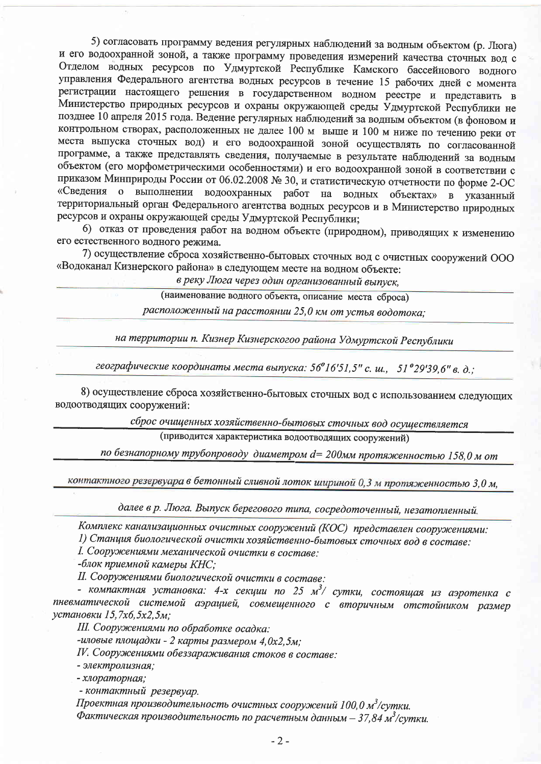5) согласовать программу ведения регулярных наблюдений за водным объектом (р. Люга) и его водоохранной зоной, а также программу проведения измерений качества сточных вод с Отделом водных ресурсов по Удмуртской Республике Камского бассейнового водного управления Федерального агентства водных ресурсов в течение 15 рабочих дней с момента регистрации настоящего решения в государственном водном реестре и представить в Министерство природных ресурсов и охраны окружающей среды Удмуртской Республики не позднее 10 апреля 2015 года. Ведение регулярных наблюдений за водным объектом (в фоновом и контрольном створах, расположенных не далее 100 м выше и 100 м ниже по течению реки от места выпуска сточных вод) и его водоохранной зоной осуществлять по согласованной программе, а также представлять сведения, получаемые в результате наблюдений за водным объектом (его морфометрическими особенностями) и его водоохранной зоной в соответствии с приказом Минприроды России от 06.02.2008 № 30, и статистическую отчетности по форме 2-ОС «Сведения о выполнении водоохранных работ на водных объектах» в указанный территориальный орган Федерального агентства водных ресурсов и в Министерство природных ресурсов и охраны окружающей среды Удмуртской Республики;

6) отказ от проведения работ на водном объекте (природном), приводящих к изменению его естественного водного режима.

7) осуществление сброса хозяйственно-бытовых сточных вод с очистных сооружений ООО «Водоканал Кизнерского района» в следующем месте на водном объекте:

в реку Люга через один организованный выпуск,

(наименование водного объекта, описание места сброса)

расположенный на расстоянии 25,0 км от устья водотока;

на территории п. Кизнер Кизнерскогоо района Удмуртской Республики

географические координаты места выпуска: 56°16'51,5" с. ш., 51°29'39,6" в. д.;

8) осуществление сброса хозяйственно-бытовых сточных вод с использованием следующих водоотводящих сооружений:

сброс очищенных хозяйственно-бытовых сточных вод осуществляется

(приводится характеристика водоотводящих сооружений)

по безнапорному трубопроводу диаметром d= 200мм протяженностью 158,0 м от

контактного резервуара в бетонный сливной лоток шириной 0,3 м протяженностью 3,0 м,

далее в р. Люга. Выпуск берегового типа, сосредоточенный, незатопленный.

Комплекс канализационных очистных сооружений (КОС) представлен сооружениями:

1) Станция биологической очистки хозяйственно-бытовых сточных вод в составе:

I. Сооружениями механической очистки в составе:

-блок приемной камеры КНС:

II. Сооружениями биологической очистки в составе:

- компактная установка: 4-х секции по 25 м<sup>3</sup>/ сутки, состоящая из аэротенка с пневматической системой аэрацией, совмещенного с вторичным отстойником размер установки 15,7х6,5х2,5м;

III. Сооружениями по обработке осадка:

-иловые площадки - 2 карты размером 4,0х2,5м;

IV. Сооружениями обеззараживания стоков в составе:

- электролизная;

- хлораторная;

- контактный резервуар.

Проектная производительность очистных сооружений 100,0 м<sup>3</sup>/сутки.

Фактическая производительность по расчетным данным - 37,84 м<sup>3</sup>/сутки.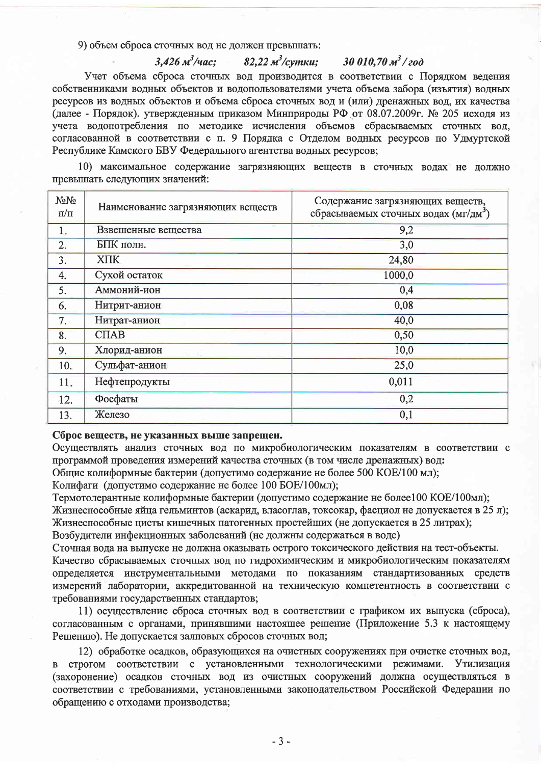9) объем сброса сточных вод не должен превышать:

 $3,426 \frac{m^3}{4ac}$ ;

Учет объема сброса сточных вод производится в соответствии с Порядком ведения собственниками водных объектов и водопользователями учета объема забора (изъятия) водных ресурсов из водных объектов и объема сброса сточных вод и (или) дренажных вод, их качества (далее - Порядок). утвержденным приказом Минприроды РФ от 08.07.2009г. № 205 исходя из учета водопотребления по методике исчисления объемов сбрасываемых сточных вод, согласованной в соответствии с п. 9 Порядка с Отделом водных ресурсов по Удмуртской Республике Камского БВУ Федерального агентства водных ресурсов;

82,22 м<sup>3</sup>/сүтки:

30 010,70  $m^3$ /200

10) максимальное содержание загрязняющих веществ в сточных водах не должно превышать следующих значений:

| NoNo<br>$\pi/\pi$ | Наименование загрязняющих веществ | Содержание загрязняющих веществ,<br>сбрасываемых сточных водах (мг/дм <sup>3</sup> ) |
|-------------------|-----------------------------------|--------------------------------------------------------------------------------------|
| 1.                | Взвешенные вещества               | 9,2                                                                                  |
| $\overline{2}$ .  | БПК полн.                         | 3,0                                                                                  |
| 3.                | <b>XIIK</b>                       | 24,80                                                                                |
| 4.                | Сухой остаток                     | 1000,0                                                                               |
| 5.                | Аммоний-ион                       | 0,4                                                                                  |
| 6.                | Нитрит-анион                      | 0,08                                                                                 |
| $7. -$            | Нитрат-анион                      | 40,0                                                                                 |
| 8.                | C <sub>II</sub> AB                | 0,50                                                                                 |
| 9.                | Хлорид-анион                      | 10,0                                                                                 |
| 10.               | Сульфат-анион                     | 25,0                                                                                 |
| 11.               | Нефтепродукты                     | 0,011                                                                                |
| 12.               | Фосфаты                           | 0,2                                                                                  |
| 13.               | Железо                            | 0,1                                                                                  |

## Сброс веществ, не указанных выше запрещен.

Осуществлять анализ сточных вод по микробиологическим показателям в соответствии с программой проведения измерений качества сточных (в том числе дренажных) вод:

Общие колиформные бактерии (допустимо содержание не более 500 КОЕ/100 мл);

Колифаги (допустимо содержание не более 100 БОЕ/100мл);

Термотолерантные колиформные бактерии (допустимо содержание не более100 КОЕ/100мл); Жизнеспособные яйца гельминтов (аскарид, власоглав, токсокар, фасциол не допускается в 25 л); Жизнеспособные цисты кишечных патогенных простейших (не допускается в 25 литрах); Возбудители инфекционных заболеваний (не должны содержаться в воде)

Сточная вода на выпуске не должна оказывать острого токсического действия на тест-объекты. Качество сбрасываемых сточных вод по гидрохимическим и микробиологическим показателям определяется инструментальными методами по показаниям стандартизованных средств измерений лаборатории, аккредитованной на техническую компетентность в соответствии с требованиями государственных стандартов;

11) осуществление сброса сточных вод в соответствии с графиком их выпуска (сброса), согласованным с органами, принявшими настоящее решение (Приложение 5.3 к настоящему Решению). Не допускается залповых сбросов сточных вод;

12) обработке осадков, образующихся на очистных сооружениях при очистке сточных вод, в строгом соответствии с установленными технологическими режимами. Утилизация (захоронение) осадков сточных вод из очистных сооружений должна осуществляться в соответствии с требованиями, установленными законодательством Российской Федерации по обращению с отходами производства;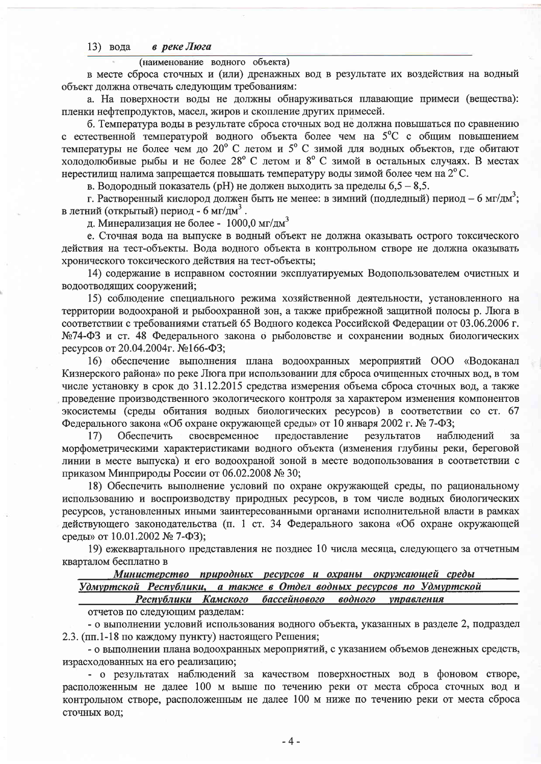#### в реке Люга 13) вода

(наименование водного объекта)

в месте сброса сточных и (или) дренажных вод в результате их воздействия на водный объект должна отвечать следующим требованиям:

а. На поверхности воды не должны обнаруживаться плавающие примеси (вещества): пленки нефтепродуктов, масел, жиров и скопление других примесей.

б. Температура воды в результате сброса сточных вод не должна повышаться по сравнению с естественной температурой водного объекта более чем на 5°С с общим повышением температуры не более чем до 20° С летом и 5° С зимой для водных объектов, где обитают холодолюбивые рыбы и не более 28° С летом и 8° С зимой в остальных случаях. В местах нерестилищ налима запрещается повышать температуру воды зимой более чем на  $2^{\circ}$ С.

в. Водородный показатель (pH) не должен выходить за пределы  $6.5 - 8.5$ .

г. Растворенный кислород должен быть не менее: в зимний (подледный) период – 6 мг/дм<sup>3</sup>; в летний (открытый) период - 6 мг/дм<sup>3</sup>.

д. Минерализация не более - 1000,0 мг/дм<sup>3</sup>

е. Сточная вода на выпуске в водный объект не должна оказывать острого токсического действия на тест-объекты. Вода водного объекта в контрольном створе не должна оказывать хронического токсического действия на тест-объекты;

14) содержание в исправном состоянии эксплуатируемых Водопользователем очистных и водоотводящих сооружений:

15) соблюдение специального режима хозяйственной деятельности, установленного на территории водоохраной и рыбоохранной зон, а также прибрежной защитной полосы р. Люга в соответствии с требованиями статьей 65 Водного кодекса Российской Федерации от 03.06.2006 г. №74-ФЗ и ст. 48 Федерального закона о рыболовстве и сохранении водных биологических ресурсов от 20.04.2004г. №166-ФЗ;

16) обеспечение выполнения плана водоохранных мероприятий ООО «Водоканал Кизнерского района» по реке Люга при использовании для сброса очищенных сточных вод, в том числе установку в срок до 31.12.2015 средства измерения объема сброса сточных вод, а также проведение производственного экологического контроля за характером изменения компонентов экосистемы (среды обитания водных биологических ресурсов) в соответствии со ст. 67 Федерального закона «Об охране окружающей среды» от 10 января 2002 г. № 7-ФЗ;

Обеспечить своевременное предоставление результатов наблюдений 17) за морфометрическими характеристиками водного объекта (изменения глубины реки, береговой линии в месте выпуска) и его водоохраной зоной в месте водопользования в соответствии с приказом Минприроды России от 06.02.2008 № 30;

18) Обеспечить выполнение условий по охране окружающей среды, по рациональному использованию и воспроизводству природных ресурсов, в том числе водных биологических ресурсов, установленных иными заинтересованными органами исполнительной власти в рамках действующего законодательства (п. 1 ст. 34 Федерального закона «Об охране окружающей среды» от 10.01.2002 № 7-ФЗ);

19) ежеквартального представления не позднее 10 числа месяца, следующего за отчетным кварталом бесплатно в

# Министерство природных ресурсов и охраны окружающей среды

Удмуртской Республики, а также в Отдел водных ресурсов по Удмуртской Республики Камского бассейнового водного управления

отчетов по следующим разделам:

- о выполнении условий использования водного объекта, указанных в разделе 2, подраздел 2.3. (пп.1-18 по каждому пункту) настоящего Решения;

- о выполнении плана водоохранных мероприятий, с указанием объемов денежных средств, израсходованных на его реализацию;

- о результатах наблюдений за качеством поверхностных вод в фоновом створе, расположенным не далее 100 м выше по течению реки от места сброса сточных вод и контрольном створе, расположенным не далее 100 м ниже по течению реки от места сброса сточных вод;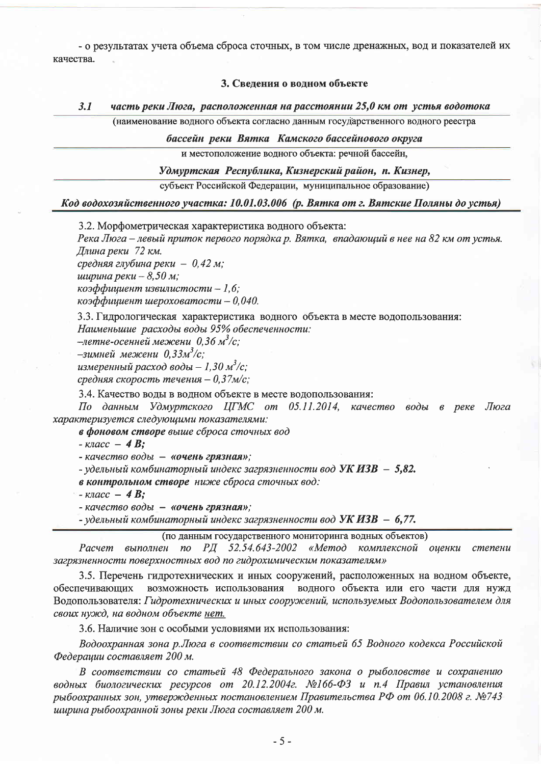- о результатах учета объема сброса сточных, в том числе дренажных, вод и показателей их качества.

## 3. Сведения о водном объекте

#### $3.1$ часть реки Люга, расположенная на расстоянии 25,0 км от устья водотока (наименование водного объекта согласно данным государственного водного реестра

бассейн реки Вятка Камского бассейнового округа

и местоположение водного объекта: речной бассейн,

Удмуртская Республика, Кизнерский район, п. Кизнер,

субъект Российской Федерации, муниципальное образование)

Код водохозяйственного участка: 10.01.03.006 (р. Вятка от г. Вятские Поляны до устья)

3.2. Морфометрическая характеристика водного объекта:

Река Люга – левый приток первого порядка р. Вятка, впадающий в нее на 82 км от устья. Длина реки 72 км.

средняя глубина реки - 0.42 м;

*ширина реки* – 8,50 м;

коэффициент извилистости - 1,6;

 $\kappa$ оэффициент шероховатости - 0,040.

3.3. Гидрологическая характеристика водного объекта в месте водопользования: Наименьшие расходы воды 95% обеспеченности:

-летне-осенней межени 0,36 м<sup>3</sup>/с;

-зимней межени 0,33м<sup>3</sup>/с;

измеренный расход воды  $-1,30 \frac{M^3}{c}$ ;

средняя скорость течения - 0,37м/с;

3.4. Качество воды в водном объекте в месте водопользования:

По данным Удмуртского ЦГМС от 05.11.2014, качество воды в реке Люга характеризуется следующими показателями:

в фоновом створе выше сброса сточных вод

 $-$  Knacc  $-$  4 B;

- качество воды - «очень грязная»;

- удельный комбинаторный индекс загрязненности вод УК ИЗВ - 5,82.

в контрольном створе ниже сброса сточных вод:

 $\kappa$ nacc - 4 **B**;

- качество воды - «очень грязная»;

- удельный комбинаторный индекс загрязненности вод УК ИЗВ - 6,77.

(по данным государственного мониторинга водных объектов)

Расчет выполнен по РД 52.54.643-2002 «Метод комплексной оценки степени загрязненности поверхностных вод по гидрохимическим показателям»

3.5. Перечень гидротехнических и иных сооружений, расположенных на водном объекте, обеспечивающих возможность использования водного объекта или его части для нужд Водопользователя: Гидротехнических и иных сооружений, используемых Водопользователем для своих нужд, на водном объекте нет.

3.6. Наличие зон с особыми условиями их использования:

Водоохранная зона р.Люга в соответствии со статьей 65 Водного кодекса Российской Федерации составляет 200 м.

В соответствии со статьей 48 Федерального закона о рыболовстве и сохранению водных биологических ресурсов от 20.12.2004г. №166-ФЗ и п.4 Правил установления рыбоохранных зон, утвержденных постановлением Правительства РФ от 06.10.2008 г. №743 ширина рыбоохранной зоны реки Люга составляет 200 м.